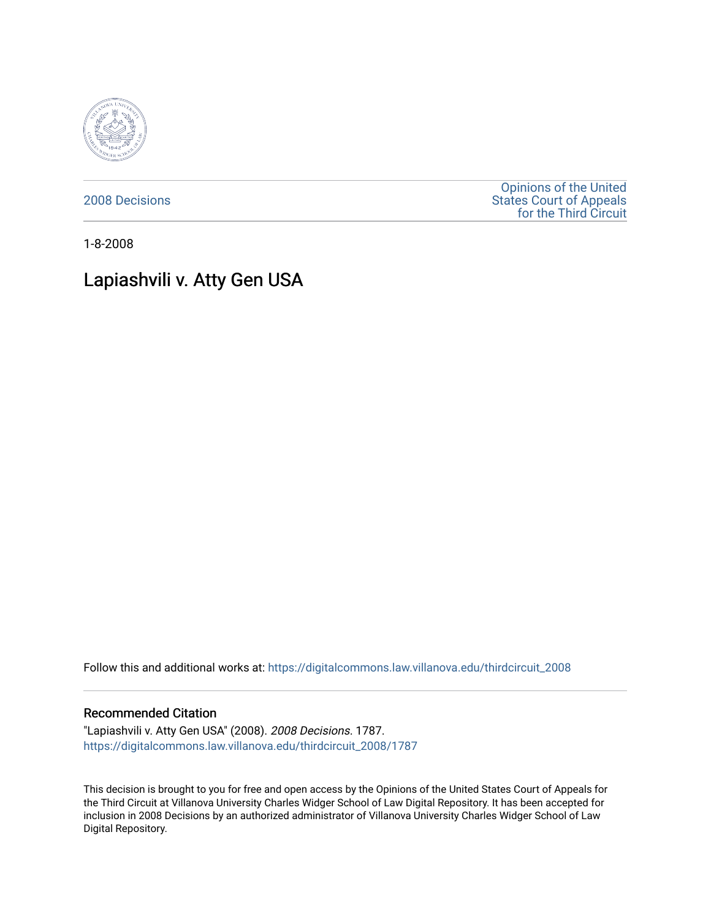

[2008 Decisions](https://digitalcommons.law.villanova.edu/thirdcircuit_2008)

[Opinions of the United](https://digitalcommons.law.villanova.edu/thirdcircuit)  [States Court of Appeals](https://digitalcommons.law.villanova.edu/thirdcircuit)  [for the Third Circuit](https://digitalcommons.law.villanova.edu/thirdcircuit) 

1-8-2008

# Lapiashvili v. Atty Gen USA

Follow this and additional works at: [https://digitalcommons.law.villanova.edu/thirdcircuit\\_2008](https://digitalcommons.law.villanova.edu/thirdcircuit_2008?utm_source=digitalcommons.law.villanova.edu%2Fthirdcircuit_2008%2F1787&utm_medium=PDF&utm_campaign=PDFCoverPages) 

### Recommended Citation

"Lapiashvili v. Atty Gen USA" (2008). 2008 Decisions. 1787. [https://digitalcommons.law.villanova.edu/thirdcircuit\\_2008/1787](https://digitalcommons.law.villanova.edu/thirdcircuit_2008/1787?utm_source=digitalcommons.law.villanova.edu%2Fthirdcircuit_2008%2F1787&utm_medium=PDF&utm_campaign=PDFCoverPages) 

This decision is brought to you for free and open access by the Opinions of the United States Court of Appeals for the Third Circuit at Villanova University Charles Widger School of Law Digital Repository. It has been accepted for inclusion in 2008 Decisions by an authorized administrator of Villanova University Charles Widger School of Law Digital Repository.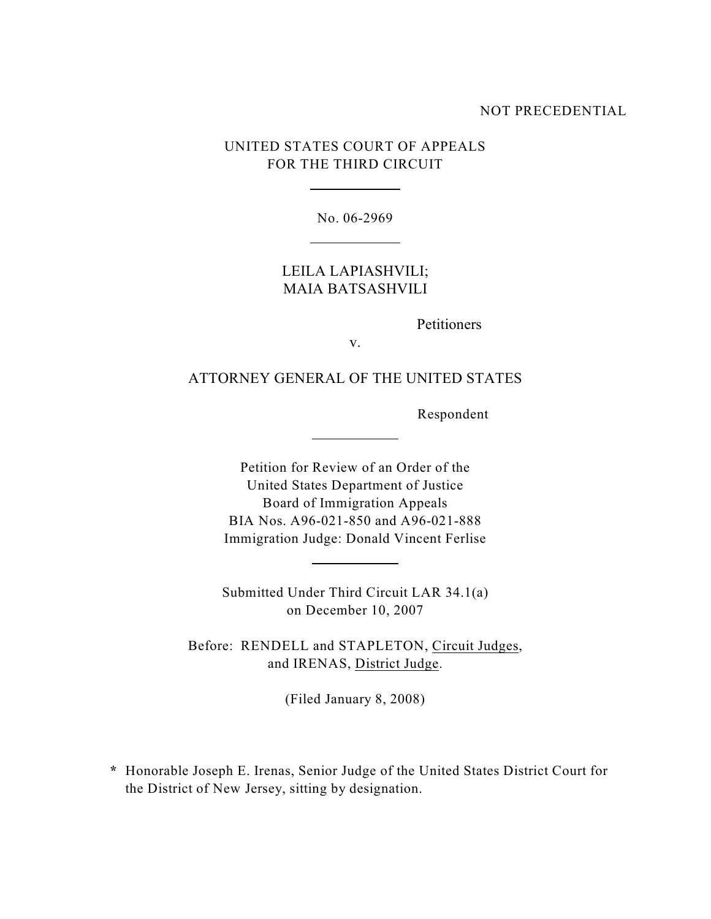### NOT PRECEDENTIAL

### UNITED STATES COURT OF APPEALS FOR THE THIRD CIRCUIT

 $\overline{a}$ 

l

 $\overline{a}$ 

 $\overline{a}$ 

No. 06-2969

## LEILA LAPIASHVILI; MAIA BATSASHVILI

Petitioners

v.

### ATTORNEY GENERAL OF THE UNITED STATES

Respondent

Petition for Review of an Order of the United States Department of Justice Board of Immigration Appeals BIA Nos. A96-021-850 and A96-021-888 Immigration Judge: Donald Vincent Ferlise

Submitted Under Third Circuit LAR 34.1(a) on December 10, 2007

Before: RENDELL and STAPLETON, Circuit Judges, and IRENAS, District Judge.

(Filed January 8, 2008)

 **\*** Honorable Joseph E. Irenas, Senior Judge of the United States District Court for the District of New Jersey, sitting by designation.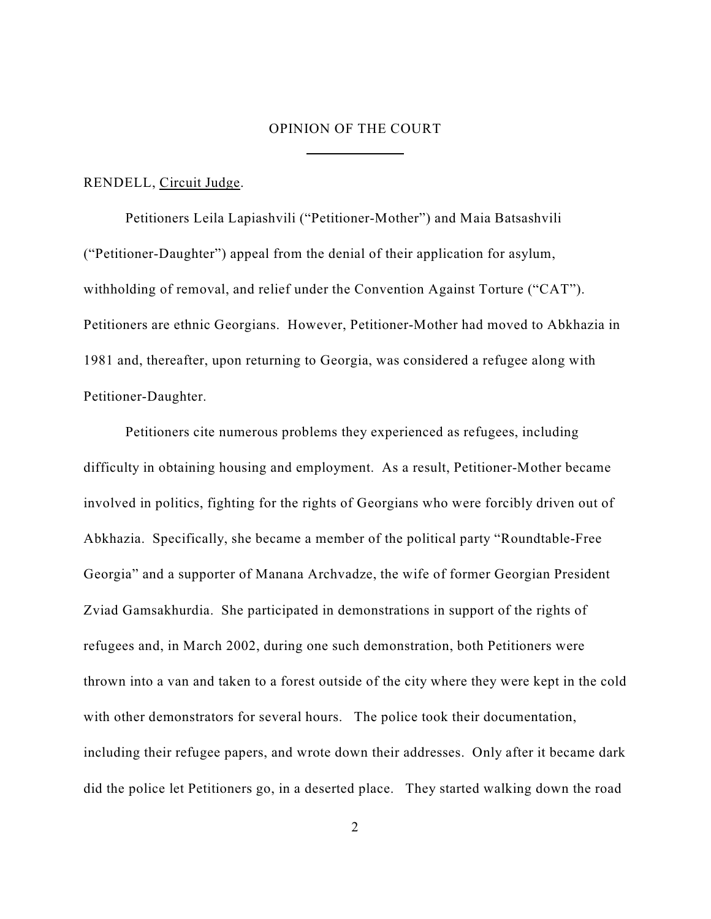### OPINION OF THE COURT

 $\overline{a}$ 

#### RENDELL, Circuit Judge.

Petitioners Leila Lapiashvili ("Petitioner-Mother") and Maia Batsashvili ("Petitioner-Daughter") appeal from the denial of their application for asylum, withholding of removal, and relief under the Convention Against Torture ("CAT"). Petitioners are ethnic Georgians. However, Petitioner-Mother had moved to Abkhazia in 1981 and, thereafter, upon returning to Georgia, was considered a refugee along with Petitioner-Daughter.

Petitioners cite numerous problems they experienced as refugees, including difficulty in obtaining housing and employment. As a result, Petitioner-Mother became involved in politics, fighting for the rights of Georgians who were forcibly driven out of Abkhazia. Specifically, she became a member of the political party "Roundtable-Free Georgia" and a supporter of Manana Archvadze, the wife of former Georgian President Zviad Gamsakhurdia. She participated in demonstrations in support of the rights of refugees and, in March 2002, during one such demonstration, both Petitioners were thrown into a van and taken to a forest outside of the city where they were kept in the cold with other demonstrators for several hours. The police took their documentation, including their refugee papers, and wrote down their addresses. Only after it became dark did the police let Petitioners go, in a deserted place. They started walking down the road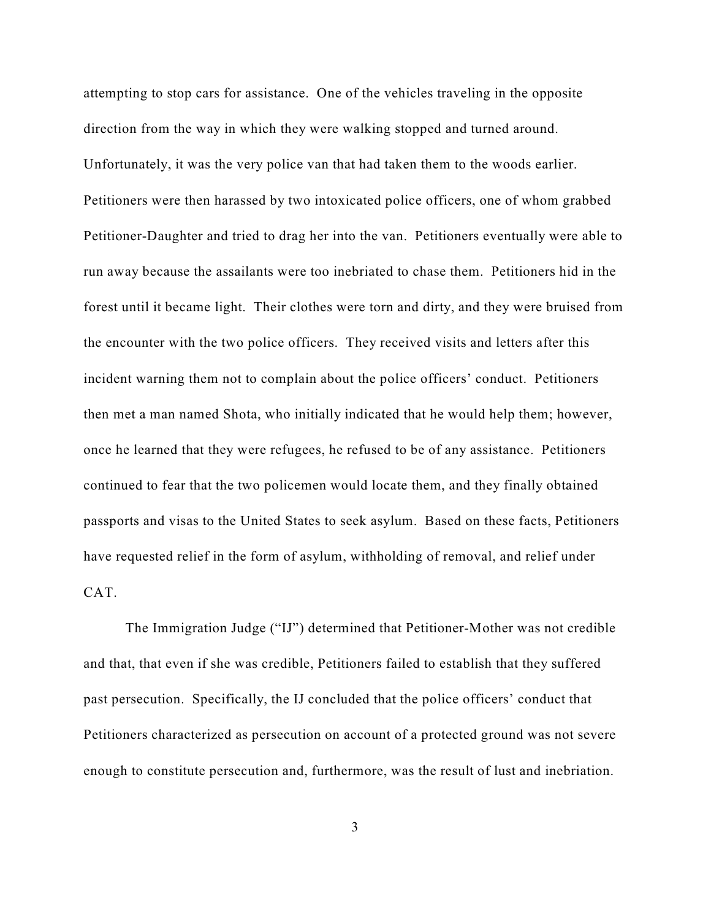attempting to stop cars for assistance. One of the vehicles traveling in the opposite direction from the way in which they were walking stopped and turned around. Unfortunately, it was the very police van that had taken them to the woods earlier. Petitioners were then harassed by two intoxicated police officers, one of whom grabbed Petitioner-Daughter and tried to drag her into the van. Petitioners eventually were able to run away because the assailants were too inebriated to chase them. Petitioners hid in the forest until it became light. Their clothes were torn and dirty, and they were bruised from the encounter with the two police officers. They received visits and letters after this incident warning them not to complain about the police officers' conduct. Petitioners then met a man named Shota, who initially indicated that he would help them; however, once he learned that they were refugees, he refused to be of any assistance. Petitioners continued to fear that the two policemen would locate them, and they finally obtained passports and visas to the United States to seek asylum. Based on these facts, Petitioners have requested relief in the form of asylum, withholding of removal, and relief under CAT.

The Immigration Judge ("IJ") determined that Petitioner-Mother was not credible and that, that even if she was credible, Petitioners failed to establish that they suffered past persecution. Specifically, the IJ concluded that the police officers' conduct that Petitioners characterized as persecution on account of a protected ground was not severe enough to constitute persecution and, furthermore, was the result of lust and inebriation.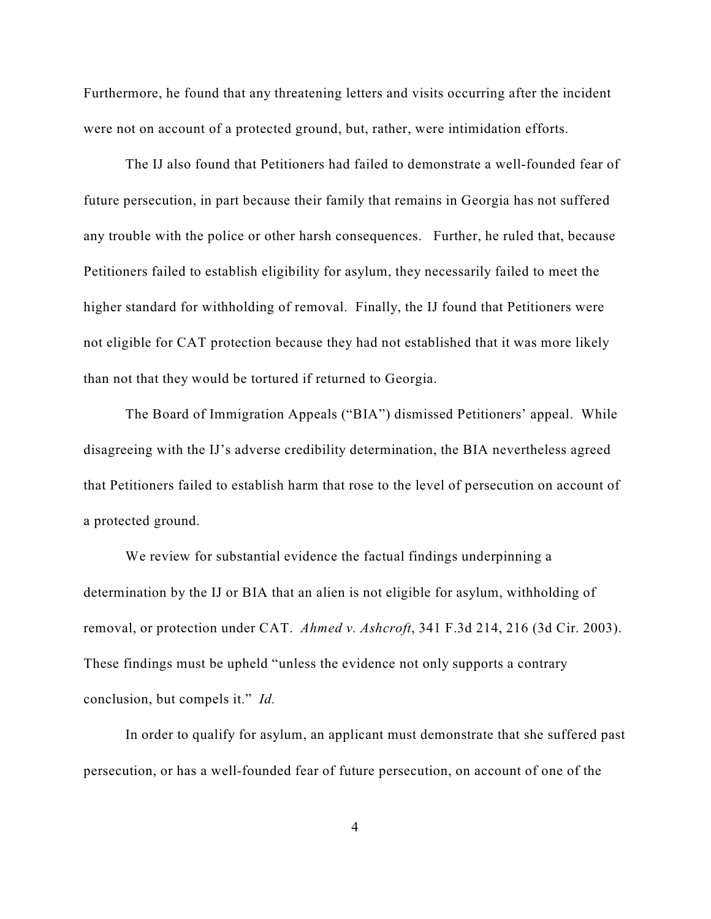Furthermore, he found that any threatening letters and visits occurring after the incident were not on account of a protected ground, but, rather, were intimidation efforts.

The IJ also found that Petitioners had failed to demonstrate a well-founded fear of future persecution, in part because their family that remains in Georgia has not suffered any trouble with the police or other harsh consequences. Further, he ruled that, because Petitioners failed to establish eligibility for asylum, they necessarily failed to meet the higher standard for withholding of removal. Finally, the IJ found that Petitioners were not eligible for CAT protection because they had not established that it was more likely than not that they would be tortured if returned to Georgia.

The Board of Immigration Appeals ("BIA") dismissed Petitioners' appeal. While disagreeing with the IJ's adverse credibility determination, the BIA nevertheless agreed that Petitioners failed to establish harm that rose to the level of persecution on account of a protected ground.

We review for substantial evidence the factual findings underpinning a determination by the IJ or BIA that an alien is not eligible for asylum, withholding of removal, or protection under CAT. *Ahmed v. Ashcroft*, 341 F.3d 214, 216 (3d Cir. 2003). These findings must be upheld "unless the evidence not only supports a contrary conclusion, but compels it." *Id.*

In order to qualify for asylum, an applicant must demonstrate that she suffered past persecution, or has a well-founded fear of future persecution, on account of one of the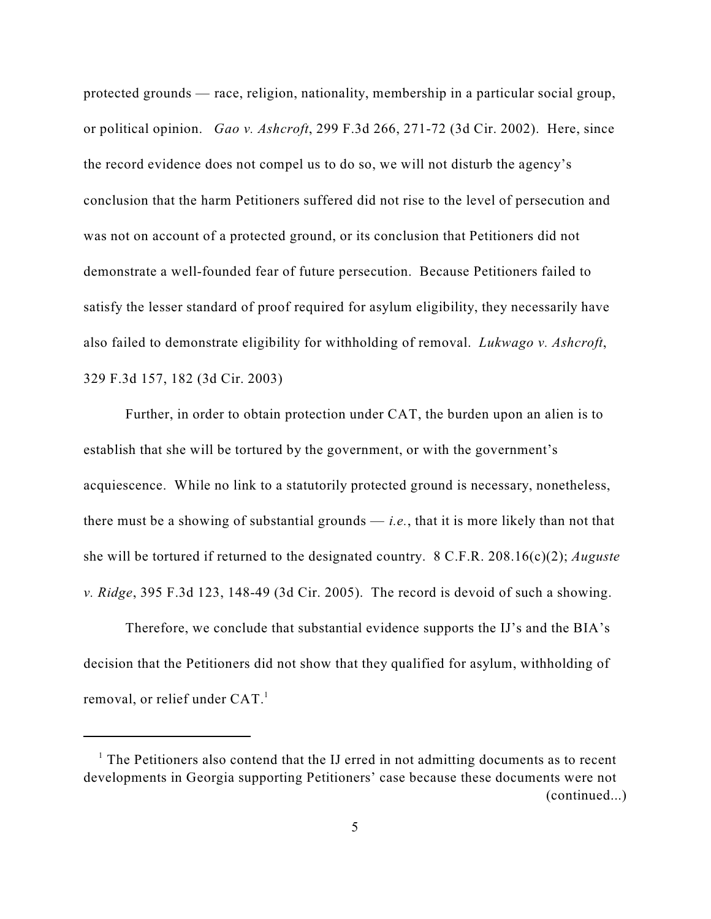protected grounds — race, religion, nationality, membership in a particular social group, or political opinion. *Gao v. Ashcroft*, 299 F.3d 266, 271-72 (3d Cir. 2002). Here, since the record evidence does not compel us to do so, we will not disturb the agency's conclusion that the harm Petitioners suffered did not rise to the level of persecution and was not on account of a protected ground, or its conclusion that Petitioners did not demonstrate a well-founded fear of future persecution. Because Petitioners failed to satisfy the lesser standard of proof required for asylum eligibility, they necessarily have also failed to demonstrate eligibility for withholding of removal. *Lukwago v. Ashcroft*, 329 F.3d 157, 182 (3d Cir. 2003)

Further, in order to obtain protection under CAT, the burden upon an alien is to establish that she will be tortured by the government, or with the government's acquiescence. While no link to a statutorily protected ground is necessary, nonetheless, there must be a showing of substantial grounds — *i.e.*, that it is more likely than not that she will be tortured if returned to the designated country. 8 C.F.R. 208.16(c)(2); *Auguste v. Ridge*, 395 F.3d 123, 148-49 (3d Cir. 2005). The record is devoid of such a showing.

Therefore, we conclude that substantial evidence supports the IJ's and the BIA's decision that the Petitioners did not show that they qualified for asylum, withholding of removal, or relief under CAT.<sup>1</sup>

 $<sup>1</sup>$  The Petitioners also contend that the IJ erred in not admitting documents as to recent</sup> developments in Georgia supporting Petitioners' case because these documents were not (continued...)